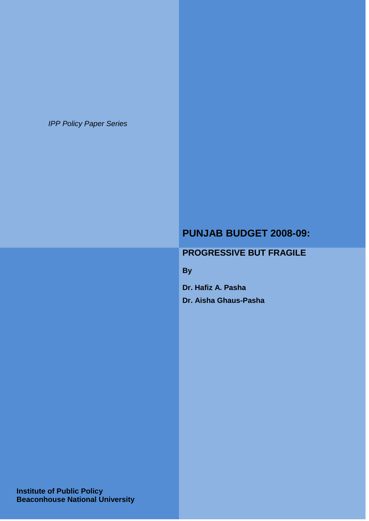*IPP Policy Paper Series*

# **PUNJAB BUDGET 2008-09:**

# **PROGRESSIVE BUT FRAGILE**

**By**

**Dr. Hafiz A. Pasha**

**Dr. Aisha Ghaus-Pasha**

 **Institute of Public Policy Beaconhouse National University**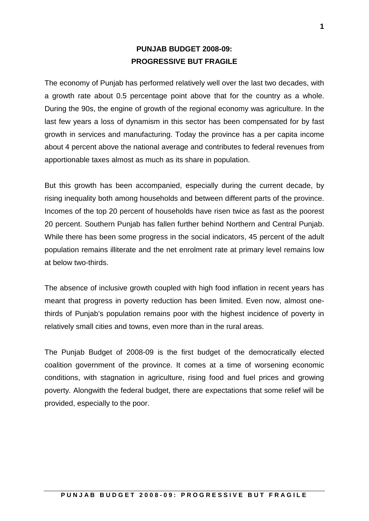# **PUNJAB BUDGET 2008-09: PROGRESSIVE BUT FRAGILE**

The economy of Punjab has performed relatively well over the last two decades, with a growth rate about 0.5 percentage point above that for the country as a whole. During the 90s, the engine of growth of the regional economy was agriculture. In the last few years a loss of dynamism in this sector has been compensated for by fast growth in services and manufacturing. Today the province has a per capita income about 4 percent above the national average and contributes to federal revenues from apportionable taxes almost as much as its share in population.

But this growth has been accompanied, especially during the current decade, by rising inequality both among households and between different parts of the province. Incomes of the top 20 percent of households have risen twice as fast as the poorest 20 percent. Southern Punjab has fallen further behind Northern and Central Punjab. While there has been some progress in the social indicators, 45 percent of the adult population remains illiterate and the net enrolment rate at primary level remains low at below two-thirds.

The absence of inclusive growth coupled with high food inflation in recent years has meant that progress in poverty reduction has been limited. Even now, almost onethirds of Punjab's population remains poor with the highest incidence of poverty in relatively small cities and towns, even more than in the rural areas.

The Punjab Budget of 2008-09 is the first budget of the democratically elected coalition government of the province. It comes at a time of worsening economic conditions, with stagnation in agriculture, rising food and fuel prices and growing poverty. Alongwith the federal budget, there are expectations that some relief will be provided, especially to the poor.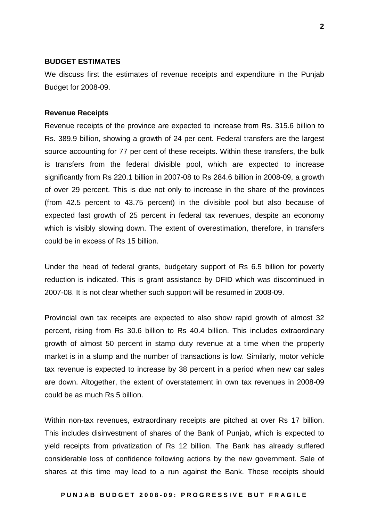#### **BUDGET ESTIMATES**

We discuss first the estimates of revenue receipts and expenditure in the Punjab Budget for 2008-09.

#### **Revenue Receipts**

Revenue receipts of the province are expected to increase from Rs. 315.6 billion to Rs. 389.9 billion, showing a growth of 24 per cent. Federal transfers are the largest source accounting for 77 per cent of these receipts. Within these transfers, the bulk is transfers from the federal divisible pool, which are expected to increase significantly from Rs 220.1 billion in 2007-08 to Rs 284.6 billion in 2008-09, a growth of over 29 percent. This is due not only to increase in the share of the provinces (from 42.5 percent to 43.75 percent) in the divisible pool but also because of expected fast growth of 25 percent in federal tax revenues, despite an economy which is visibly slowing down. The extent of overestimation, therefore, in transfers could be in excess of Rs 15 billion.

Under the head of federal grants, budgetary support of Rs 6.5 billion for poverty reduction is indicated. This is grant assistance by DFID which was discontinued in 2007-08. It is not clear whether such support will be resumed in 2008-09.

Provincial own tax receipts are expected to also show rapid growth of almost 32 percent, rising from Rs 30.6 billion to Rs 40.4 billion. This includes extraordinary growth of almost 50 percent in stamp duty revenue at a time when the property market is in a slump and the number of transactions is low. Similarly, motor vehicle tax revenue is expected to increase by 38 percent in a period when new car sales are down. Altogether, the extent of overstatement in own tax revenues in 2008-09 could be as much Rs 5 billion.

Within non-tax revenues, extraordinary receipts are pitched at over Rs 17 billion. This includes disinvestment of shares of the Bank of Punjab, which is expected to yield receipts from privatization of Rs 12 billion. The Bank has already suffered considerable loss of confidence following actions by the new government. Sale of shares at this time may lead to a run against the Bank. These receipts should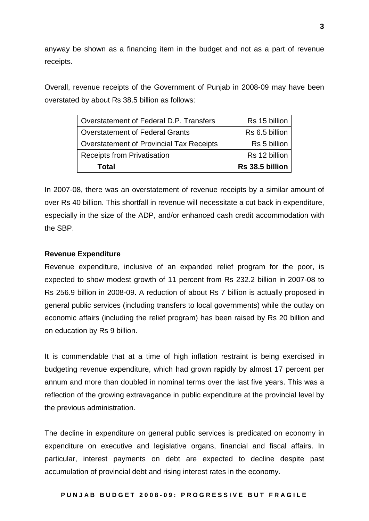anyway be shown as a financing item in the budget and not as a part of revenue receipts.

Overall, revenue receipts of the Government of Punjab in 2008-09 may have been overstated by about Rs 38.5 billion as follows:

| Overstatement of Federal D.P. Transfers  | Rs 15 billion   |
|------------------------------------------|-----------------|
| <b>Overstatement of Federal Grants</b>   | Rs 6.5 billion  |
| Overstatement of Provincial Tax Receipts | Rs 5 billion    |
| <b>Receipts from Privatisation</b>       | Rs 12 billion   |
| Total                                    | Rs 38.5 billion |

In 2007-08, there was an overstatement of revenue receipts by a similar amount of over Rs 40 billion. This shortfall in revenue will necessitate a cut back in expenditure, especially in the size of the ADP, and/or enhanced cash credit accommodation with the SBP.

### **Revenue Expenditure**

Revenue expenditure, inclusive of an expanded relief program for the poor, is expected to show modest growth of 11 percent from Rs 232.2 billion in 2007-08 to Rs 256.9 billion in 2008-09. A reduction of about Rs 7 billion is actually proposed in general public services (including transfers to local governments) while the outlay on economic affairs (including the relief program) has been raised by Rs 20 billion and on education by Rs 9 billion.

It is commendable that at a time of high inflation restraint is being exercised in budgeting revenue expenditure, which had grown rapidly by almost 17 percent per annum and more than doubled in nominal terms over the last five years. This was a reflection of the growing extravagance in public expenditure at the provincial level by the previous administration.

The decline in expenditure on general public services is predicated on economy in expenditure on executive and legislative organs, financial and fiscal affairs. In particular, interest payments on debt are expected to decline despite past accumulation of provincial debt and rising interest rates in the economy.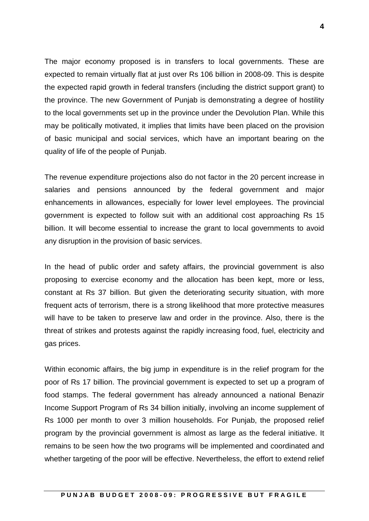The major economy proposed is in transfers to local governments. These are expected to remain virtually flat at just over Rs 106 billion in 2008-09. This is despite the expected rapid growth in federal transfers (including the district support grant) to the province. The new Government of Punjab is demonstrating a degree of hostility to the local governments set up in the province under the Devolution Plan. While this may be politically motivated, it implies that limits have been placed on the provision of basic municipal and social services, which have an important bearing on the quality of life of the people of Punjab.

The revenue expenditure projections also do not factor in the 20 percent increase in salaries and pensions announced by the federal government and major enhancements in allowances, especially for lower level employees. The provincial government is expected to follow suit with an additional cost approaching Rs 15 billion. It will become essential to increase the grant to local governments to avoid any disruption in the provision of basic services.

In the head of public order and safety affairs, the provincial government is also proposing to exercise economy and the allocation has been kept, more or less, constant at Rs 37 billion. But given the deteriorating security situation, with more frequent acts of terrorism, there is a strong likelihood that more protective measures will have to be taken to preserve law and order in the province. Also, there is the threat of strikes and protests against the rapidly increasing food, fuel, electricity and gas prices.

Within economic affairs, the big jump in expenditure is in the relief program for the poor of Rs 17 billion. The provincial government is expected to set up a program of food stamps. The federal government has already announced a national Benazir Income Support Program of Rs 34 billion initially, involving an income supplement of Rs 1000 per month to over 3 million households. For Punjab, the proposed relief program by the provincial government is almost as large as the federal initiative. It remains to be seen how the two programs will be implemented and coordinated and whether targeting of the poor will be effective. Nevertheless, the effort to extend relief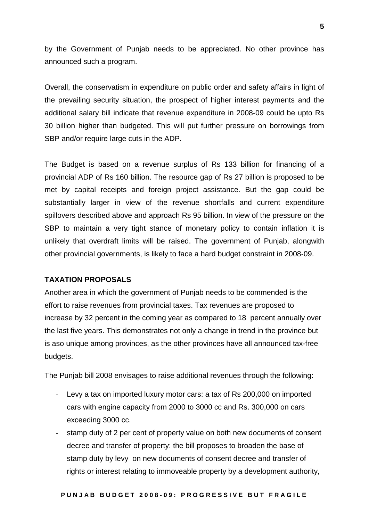by the Government of Punjab needs to be appreciated. No other province has announced such a program.

Overall, the conservatism in expenditure on public order and safety affairs in light of the prevailing security situation, the prospect of higher interest payments and the additional salary bill indicate that revenue expenditure in 2008-09 could be upto Rs 30 billion higher than budgeted. This will put further pressure on borrowings from SBP and/or require large cuts in the ADP.

The Budget is based on a revenue surplus of Rs 133 billion for financing of a provincial ADP of Rs 160 billion. The resource gap of Rs 27 billion is proposed to be met by capital receipts and foreign project assistance. But the gap could be substantially larger in view of the revenue shortfalls and current expenditure spillovers described above and approach Rs 95 billion. In view of the pressure on the SBP to maintain a very tight stance of monetary policy to contain inflation it is unlikely that overdraft limits will be raised. The government of Punjab, alongwith other provincial governments, is likely to face a hard budget constraint in 2008-09.

### **TAXATION PROPOSALS**

Another area in which the government of Punjab needs to be commended is the effort to raise revenues from provincial taxes. Tax revenues are proposed to increase by 32 percent in the coming year as compared to 18 percent annually over the last five years. This demonstrates not only a change in trend in the province but is aso unique among provinces, as the other provinces have all announced tax-free budgets.

The Punjab bill 2008 envisages to raise additional revenues through the following:

- Levy a tax on imported luxury motor cars: a tax of Rs 200,000 on imported cars with engine capacity from 2000 to 3000 cc and Rs. 300,000 on cars exceeding 3000 cc.
- stamp duty of 2 per cent of property value on both new documents of consent decree and transfer of property: the bill proposes to broaden the base of stamp duty by levy on new documents of consent decree and transfer of rights or interest relating to immoveable property by a development authority,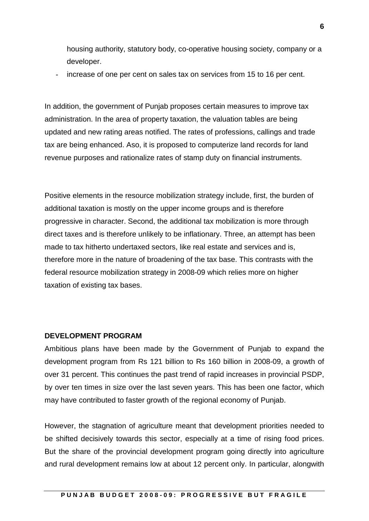housing authority, statutory body, co-operative housing society, company or a developer.

increase of one per cent on sales tax on services from 15 to 16 per cent.

In addition, the government of Punjab proposes certain measures to improve tax administration. In the area of property taxation, the valuation tables are being updated and new rating areas notified. The rates of professions, callings and trade tax are being enhanced. Aso, it is proposed to computerize land records for land revenue purposes and rationalize rates of stamp duty on financial instruments.

Positive elements in the resource mobilization strategy include, first, the burden of additional taxation is mostly on the upper income groups and is therefore progressive in character. Second, the additional tax mobilization is more through direct taxes and is therefore unlikely to be inflationary. Three, an attempt has been made to tax hitherto undertaxed sectors, like real estate and services and is, therefore more in the nature of broadening of the tax base. This contrasts with the federal resource mobilization strategy in 2008-09 which relies more on higher taxation of existing tax bases.

#### **DEVELOPMENT PROGRAM**

Ambitious plans have been made by the Government of Punjab to expand the development program from Rs 121 billion to Rs 160 billion in 2008-09, a growth of over 31 percent. This continues the past trend of rapid increases in provincial PSDP, by over ten times in size over the last seven years. This has been one factor, which may have contributed to faster growth of the regional economy of Punjab.

However, the stagnation of agriculture meant that development priorities needed to be shifted decisively towards this sector, especially at a time of rising food prices. But the share of the provincial development program going directly into agriculture and rural development remains low at about 12 percent only. In particular, alongwith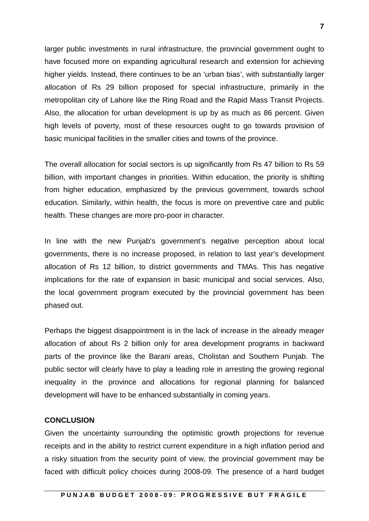larger public investments in rural infrastructure, the provincial government ought to have focused more on expanding agricultural research and extension for achieving higher yields. Instead, there continues to be an 'urban bias', with substantially larger allocation of Rs 29 billion proposed for special infrastructure, primarily in the metropolitan city of Lahore like the Ring Road and the Rapid Mass Transit Projects. Also, the allocation for urban development is up by as much as 86 percent. Given high levels of poverty, most of these resources ought to go towards provision of basic municipal facilities in the smaller cities and towns of the province.

The overall allocation for social sectors is up significantly from Rs 47 billion to Rs 59 billion, with important changes in priorities. Within education, the priority is shifting from higher education, emphasized by the previous government, towards school education. Similarly, within health, the focus is more on preventive care and public health. These changes are more pro-poor in character.

In line with the new Punjab's government's negative perception about local governments, there is no increase proposed, in relation to last year's development allocation of Rs 12 billion, to district governments and TMAs. This has negative implications for the rate of expansion in basic municipal and social services. Also, the local government program executed by the provincial government has been phased out.

Perhaps the biggest disappointment is in the lack of increase in the already meager allocation of about Rs 2 billion only for area development programs in backward parts of the province like the Barani areas, Cholistan and Southern Punjab. The public sector will clearly have to play a leading role in arresting the growing regional inequality in the province and allocations for regional planning for balanced development will have to be enhanced substantially in coming years.

#### **CONCLUSION**

Given the uncertainty surrounding the optimistic growth projections for revenue receipts and in the ability to restrict current expenditure in a high inflation period and a risky situation from the security point of view, the provincial government may be faced with difficult policy choices during 2008-09. The presence of a hard budget